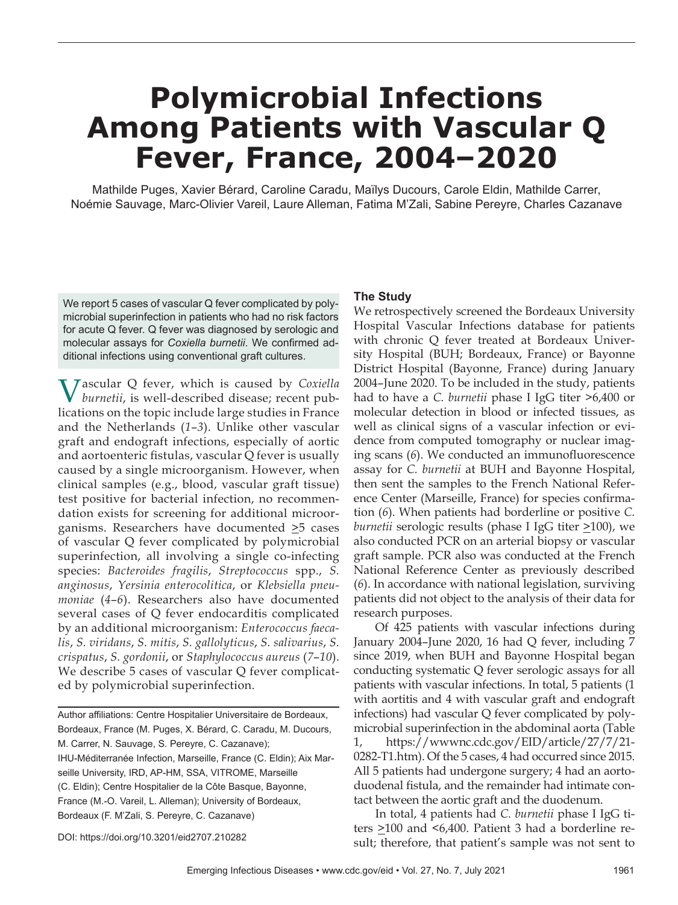# **Polymicrobial Infections Among Patients with Vascular Q Fever, France, 2004–2020**

Mathilde Puges, Xavier Bérard, Caroline Caradu, Maïlys Ducours, Carole Eldin, Mathilde Carrer, Noémie Sauvage, Marc-Olivier Vareil, Laure Alleman, Fatima M'Zali, Sabine Pereyre, Charles Cazanave

We report 5 cases of vascular Q fever complicated by polymicrobial superinfection in patients who had no risk factors for acute Q fever. Q fever was diagnosed by serologic and molecular assays for *Coxiella burnetii*. We confirmed additional infections using conventional graft cultures.

Vascular Q fever, which is caused by *Coxiella burnetii*, is well-described disease; recent publications on the topic include large studies in France and the Netherlands (*1*–*3*). Unlike other vascular graft and endograft infections, especially of aortic and aortoenteric fistulas, vascular  $Q$  fever is usually caused by a single microorganism. However, when clinical samples (e.g., blood, vascular graft tissue) test positive for bacterial infection, no recommendation exists for screening for additional microorganisms. Researchers have documented >5 cases of vascular Q fever complicated by polymicrobial superinfection, all involving a single co-infecting species: *Bacteroides fragilis*, *Streptococcus* spp., *S. anginosus*, *Yersinia enterocolitica*, or *Klebsiella pneumoniae* (*4*–*6*). Researchers also have documented several cases of Q fever endocarditis complicated by an additional microorganism: *Enterococcus faecalis*, *S. viridans*, *S. mitis*, *S. gallolyticus*, *S. salivarius*, *S. crispatus*, *S. gordonii*, or *Staphylococcus aureus* (*7*–*10*). We describe 5 cases of vascular Q fever complicated by polymicrobial superinfection.

Author affiliations: Centre Hospitalier Universitaire de Bordeaux, Bordeaux, France (M. Puges, X. Bérard, C. Caradu, M. Ducours, M. Carrer, N. Sauvage, S. Pereyre, C. Cazanave); IHU-Méditerranée Infection, Marseille, France (C. Eldin); Aix Marseille University, IRD, AP-HM, SSA, VITROME, Marseille (C. Eldin); Centre Hospitalier de la Côte Basque, Bayonne, France (M.-O. Vareil, L. Alleman); University of Bordeaux, Bordeaux (F. M'Zali, S. Pereyre, C. Cazanave)

#### DOI: https://doi.org/10.3201/eid2707.210282

### **The Study**

 We retrospectively screened the Bordeaux University Hospital Vascular Infections database for patients with chronic Q fever treated at Bordeaux University Hospital (BUH; Bordeaux, France) or Bayonne District Hospital (Bayonne, France) during January 2004–June 2020. To be included in the study, patients had to have a *C. burnetii* phase I IgG titer >6,400 or molecular detection in blood or infected tissues, as well as clinical signs of a vascular infection or evidence from computed tomography or nuclear imaging scans (6). We conducted an immunofluorescence assay for *C. burnetii* at BUH and Bayonne Hospital, then sent the samples to the French National Reference Center (Marseille, France) for species confirmation (*6*). When patients had borderline or positive *C. burnetii* serologic results (phase I IgG titer  $\geq$ 100), we also conducted PCR on an arterial biopsy or vascular graft sample. PCR also was conducted at the French National Reference Center as previously described (*6*). In accordance with national legislation, surviving patients did not object to the analysis of their data for research purposes.

Of 425 patients with vascular infections during January 2004–June 2020, 16 had Q fever, including 7 since 2019, when BUH and Bayonne Hospital began conducting systematic Q fever serologic assays for all patients with vascular infections. In total, 5 patients (1 with aortitis and 4 with vascular graft and endograft infections) had vascular Q fever complicated by polymicrobial superinfection in the abdominal aorta (Table 1, https://wwwnc.cdc.gov/EID/article/27/7/21- 0282-T1.htm). Of the 5 cases, 4 had occurred since 2015. All 5 patients had undergone surgery; 4 had an aortoduodenal fistula, and the remainder had intimate contact between the aortic graft and the duodenum.

 In total, 4 patients had *C. burnetii* phase I IgG titers >100 and <6,400. Patient 3 had a borderline result; therefore, that patient's sample was not sent to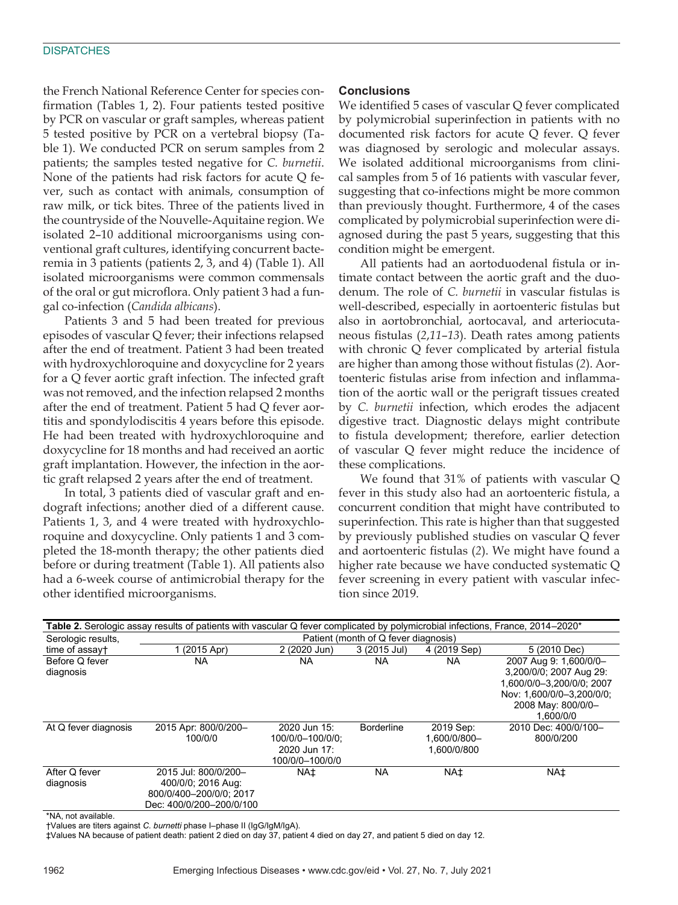the French National Reference Center for species confirmation (Tables 1, 2). Four patients tested positive by PCR on vascular or graft samples, whereas patient 5 tested positive by PCR on a vertebral biopsy (Table 1). We conducted PCR on serum samples from 2 patients; the samples tested negative for *C. burnetii*. None of the patients had risk factors for acute Q fever, such as contact with animals, consumption of raw milk, or tick bites. Three of the patients lived in the countryside of the Nouvelle-Aquitaine region. We isolated 2–10 additional microorganisms using conventional graft cultures, identifying concurrent bacteremia in 3 patients (patients 2, 3, and 4) (Table 1). All isolated microorganisms were common commensals of the oral or gut microflora. Only patient 3 had a fungal co-infection (*Candida albicans*).

Patients 3 and 5 had been treated for previous episodes of vascular Q fever; their infections relapsed after the end of treatment. Patient 3 had been treated with hydroxychloroquine and doxycycline for 2 years for a Q fever aortic graft infection. The infected graft was not removed, and the infection relapsed 2 months after the end of treatment. Patient 5 had Q fever aortitis and spondylodiscitis 4 years before this episode. He had been treated with hydroxychloroquine and doxycycline for 18 months and had received an aortic graft implantation. However, the infection in the aortic graft relapsed 2 years after the end of treatment.

In total, 3 patients died of vascular graft and endograft infections; another died of a different cause. Patients 1, 3, and 4 were treated with hydroxychloroquine and doxycycline. Only patients 1 and 3 completed the 18-month therapy; the other patients died before or during treatment (Table 1). All patients also had a 6-week course of antimicrobial therapy for the other identified microorganisms.

## **Conclusions**

We identified 5 cases of vascular Q fever complicated by polymicrobial superinfection in patients with no documented risk factors for acute Q fever. Q fever was diagnosed by serologic and molecular assays. We isolated additional microorganisms from clinical samples from 5 of 16 patients with vascular fever, suggesting that co-infections might be more common than previously thought. Furthermore, 4 of the cases complicated by polymicrobial superinfection were diagnosed during the past 5 years, suggesting that this condition might be emergent.

All patients had an aortoduodenal fistula or intimate contact between the aortic graft and the duodenum. The role of *C. burnetii* in vascular fistulas is well-described, especially in aortoenteric fistulas but also in aortobronchial, aortocaval, and arteriocutaneous fistulas (*2*,*11*–*13*). Death rates among patients with chronic Q fever complicated by arterial fistula are higher than among those without fistulas (*2*). Aortoenteric fistulas arise from infection and inflammation of the aortic wall or the perigraft tissues created by *C. burnetii* infection, which erodes the adjacent digestive tract. Diagnostic delays might contribute to fistula development; therefore, earlier detection of vascular Q fever might reduce the incidence of these complications.

We found that 31% of patients with vascular Q fever in this study also had an aortoenteric fistula, a concurrent condition that might have contributed to superinfection. This rate is higher than that suggested by previously published studies on vascular Q fever and aortoenteric fistulas (*2*). We might have found a higher rate because we have conducted systematic Q fever screening in every patient with vascular infection since 2019.

| Table 2. Serologic assay results of patients with vascular Q fever complicated by polymicrobial infections, France, 2014–2020* |                                      |                  |                   |                 |                           |
|--------------------------------------------------------------------------------------------------------------------------------|--------------------------------------|------------------|-------------------|-----------------|---------------------------|
| Serologic results,                                                                                                             | Patient (month of Q fever diagnosis) |                  |                   |                 |                           |
| time of assayt                                                                                                                 | $(2015$ Apr)                         | 2 (2020 Jun)     | 3 (2015 Jul)      | 4 (2019 Sep)    | 5 (2010 Dec)              |
| Before Q fever                                                                                                                 | <b>NA</b>                            | NA               | <b>NA</b>         | <b>NA</b>       | 2007 Aug 9: 1,600/0/0-    |
| diagnosis                                                                                                                      |                                      |                  |                   |                 | 3,200/0/0; 2007 Aug 29:   |
|                                                                                                                                |                                      |                  |                   |                 | 1.600/0/0-3.200/0/0: 2007 |
|                                                                                                                                |                                      |                  |                   |                 | Nov: 1,600/0/0-3,200/0/0; |
|                                                                                                                                |                                      |                  |                   |                 | 2008 May: 800/0/0-        |
|                                                                                                                                |                                      |                  |                   |                 | 1.600/0/0                 |
| At Q fever diagnosis                                                                                                           | 2015 Apr: 800/0/200-                 | 2020 Jun 15:     | <b>Borderline</b> | 2019 Sep:       | 2010 Dec: 400/0/100-      |
|                                                                                                                                | 100/0/0                              | 100/0/0-100/0/0: |                   | 1.600/0/800-    | 800/0/200                 |
|                                                                                                                                |                                      | 2020 Jun 17:     |                   | 1.600/0/800     |                           |
|                                                                                                                                |                                      | 100/0/0-100/0/0  |                   |                 |                           |
| After Q fever                                                                                                                  | 2015 Jul: 800/0/200-                 | <b>NA±</b>       | <b>NA</b>         | NA <sup>+</sup> | NA±                       |
| diagnosis                                                                                                                      | 400/0/0; 2016 Aug:                   |                  |                   |                 |                           |
|                                                                                                                                | 800/0/400-200/0/0; 2017              |                  |                   |                 |                           |
|                                                                                                                                | Dec: 400/0/200-200/0/100             |                  |                   |                 |                           |

\*NA, not available.

†Values are titers against *C. burnetti* phase I–phase II (IgG/IgM/IgA).

‡Values NA because of patient death: patient 2 died on day 37, patient 4 died on day 27, and patient 5 died on day 12.